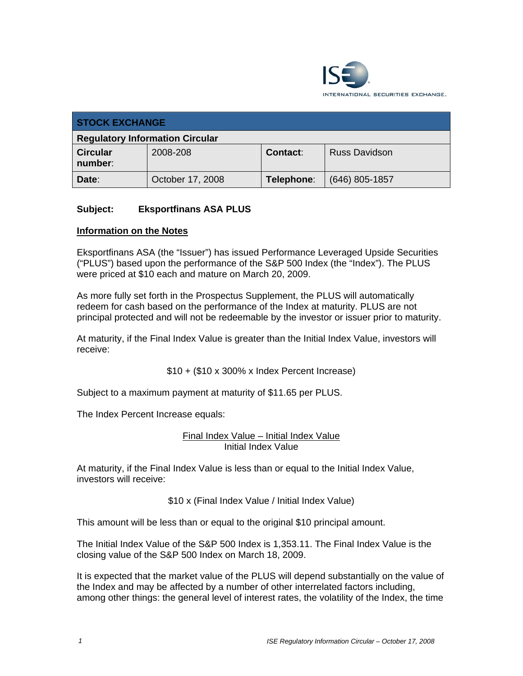

| <b>STOCK EXCHANGE</b>                  |                  |                 |                      |  |
|----------------------------------------|------------------|-----------------|----------------------|--|
| <b>Regulatory Information Circular</b> |                  |                 |                      |  |
| <b>Circular</b><br>number:             | 2008-208         | <b>Contact:</b> | <b>Russ Davidson</b> |  |
| Date:                                  | October 17, 2008 | Telephone:      | $(646)$ 805-1857     |  |

## **Subject: Eksportfinans ASA PLUS**

## **Information on the Notes**

Eksportfinans ASA (the "Issuer") has issued Performance Leveraged Upside Securities ("PLUS") based upon the performance of the S&P 500 Index (the "Index"). The PLUS were priced at \$10 each and mature on March 20, 2009.

As more fully set forth in the Prospectus Supplement, the PLUS will automatically redeem for cash based on the performance of the Index at maturity. PLUS are not principal protected and will not be redeemable by the investor or issuer prior to maturity.

At maturity, if the Final Index Value is greater than the Initial Index Value, investors will receive:

\$10 + (\$10 x 300% x Index Percent Increase)

Subject to a maximum payment at maturity of \$11.65 per PLUS.

The Index Percent Increase equals:

Final Index Value – Initial Index Value Initial Index Value

At maturity, if the Final Index Value is less than or equal to the Initial Index Value, investors will receive:

\$10 x (Final Index Value / Initial Index Value)

This amount will be less than or equal to the original \$10 principal amount.

The Initial Index Value of the S&P 500 Index is 1,353.11. The Final Index Value is the closing value of the S&P 500 Index on March 18, 2009.

It is expected that the market value of the PLUS will depend substantially on the value of the Index and may be affected by a number of other interrelated factors including, among other things: the general level of interest rates, the volatility of the Index, the time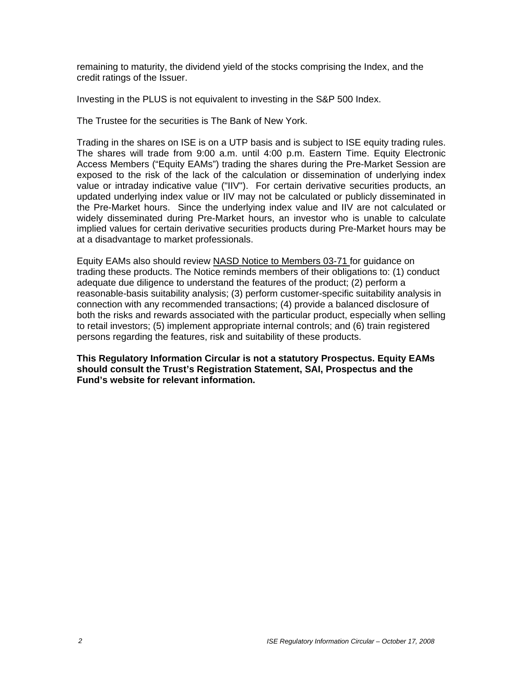remaining to maturity, the dividend yield of the stocks comprising the Index, and the credit ratings of the Issuer.

Investing in the PLUS is not equivalent to investing in the S&P 500 Index.

The Trustee for the securities is The Bank of New York.

Trading in the shares on ISE is on a UTP basis and is subject to ISE equity trading rules. The shares will trade from 9:00 a.m. until 4:00 p.m. Eastern Time. Equity Electronic Access Members ("Equity EAMs") trading the shares during the Pre-Market Session are exposed to the risk of the lack of the calculation or dissemination of underlying index value or intraday indicative value ("IIV"). For certain derivative securities products, an updated underlying index value or IIV may not be calculated or publicly disseminated in the Pre-Market hours. Since the underlying index value and IIV are not calculated or widely disseminated during Pre-Market hours, an investor who is unable to calculate implied values for certain derivative securities products during Pre-Market hours may be at a disadvantage to market professionals.

Equity EAMs also should review NASD Notice to Members 03-71 for guidance on trading these products. The Notice reminds members of their obligations to: (1) conduct adequate due diligence to understand the features of the product; (2) perform a reasonable-basis suitability analysis; (3) perform customer-specific suitability analysis in connection with any recommended transactions; (4) provide a balanced disclosure of both the risks and rewards associated with the particular product, especially when selling to retail investors; (5) implement appropriate internal controls; and (6) train registered persons regarding the features, risk and suitability of these products.

**This Regulatory Information Circular is not a statutory Prospectus. Equity EAMs should consult the Trust's Registration Statement, SAI, Prospectus and the Fund's website for relevant information.**